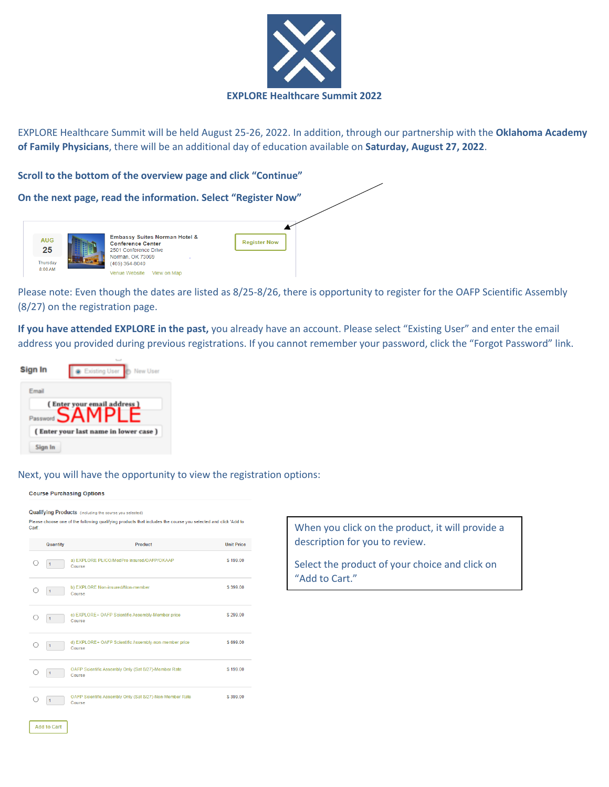

EXPLORE Healthcare Summit will be held August 25-26, 2022. In addition, through our partnership with the **Oklahoma Academy of Family Physicians**, there will be an additional day of education available on **Saturday, August 27, 2022**.

**Scroll to the bottom of the overview page and click "Continue"**

|                              | On the next page, read the information. Select "Register Now"                                                                       |                     |
|------------------------------|-------------------------------------------------------------------------------------------------------------------------------------|---------------------|
| <b>AUG</b><br>25<br>Thursdav | <b>Embassy Suites Norman Hotel &amp;</b><br><b>Conference Center</b><br>2501 Conference Drive<br>Norman, OK 73069<br>(405) 364-8040 | <b>Register Now</b> |
| 8:00 AM                      | Venue Website<br>View on Map                                                                                                        |                     |

Please note: Even though the dates are listed as 8/25-8/26, there is opportunity to register for the OAFP Scientific Assembly (8/27) on the registration page.

**If you have attended EXPLORE in the past,** you already have an account. Please select "Existing User" and enter the email address you provided during previous registrations. If you cannot remember your password, click the "Forgot Password" link.

| Sign In  | <b>Existing User</b><br>New User     |
|----------|--------------------------------------|
| Email    |                                      |
| Password | mail address )<br>(Enter             |
|          | (Enter your last name in lower case) |
| Sign In  |                                      |

Next, you will have the opportunity to view the registration options:

|                                                                                                                                                                                            | <b>Course Purchasing Options</b> |                                                                    |                   |  |  |  |  |
|--------------------------------------------------------------------------------------------------------------------------------------------------------------------------------------------|----------------------------------|--------------------------------------------------------------------|-------------------|--|--|--|--|
| <b>Qualifying Products</b> (including the course you selected)<br>Please choose one of the following qualifying products that includes the course you selected and click 'Add to<br>Cart'. |                                  |                                                                    |                   |  |  |  |  |
|                                                                                                                                                                                            | Quantity                         | Product                                                            | <b>Unit Price</b> |  |  |  |  |
|                                                                                                                                                                                            | 1                                | a) EXPLORE PLICO/MedPro insured/OAFP/OKAAP<br>Course               | \$199.00          |  |  |  |  |
|                                                                                                                                                                                            | 1                                | b) EXPLORE Non-insured/Non-member<br>Course                        | \$399.00          |  |  |  |  |
|                                                                                                                                                                                            |                                  | c) EXPLORE+ OAFP Scientific Assembly-Member price<br>Course        | \$299.00          |  |  |  |  |
|                                                                                                                                                                                            |                                  | d) EXPLORE+ OAFP Scientific Assembly-non-member price<br>Course    | \$699.00          |  |  |  |  |
|                                                                                                                                                                                            |                                  | OAFP Scientific Assembly Only (Sat 8/27)-Member Rate<br>Course     | \$199.00          |  |  |  |  |
|                                                                                                                                                                                            | $\mathbf{1}$                     | OAFP Scientific Assembly Only (Sat 8/27)-Non-Member Rate<br>Course | \$399.00          |  |  |  |  |
|                                                                                                                                                                                            | <b>Add to Cart</b>               |                                                                    |                   |  |  |  |  |

When you click on the product, it will provide a description for you to review.

Select the product of your choice and click on "Add to Cart."